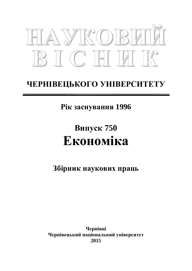

# ЧЕРНІВЕЦЬКОГО УНІВЕРСИТЕТУ

Рік заснування 1996

# Випуск 750 **Економіка**

Збірник наукових праць

**ɑɟɪɧɿɜɰɿ** Чернівецький національний університет **2015**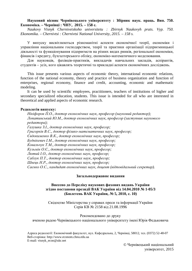#### **Науковий вісник Чернівецького університету : Збірник наук. праць. Вип. 750. Економіка.** – Чернівці: ЧНУ, 2015. – 158 с.

*Naukovy Visnyk Chernivetskoho universitetu : Zbirnyk Naukovyh prats. Vyp. 750. Ekonomika. – Chernivtsi : Chernivtsi National University, 2015. – 158 s.* 

У випуску висвітлюються різноманітні аспекти економічної теорії, економіки і управління національним господарством, теорії та практики організації підприємницької діяльності та функціонування підприємств на різних видах ринків, регіональної економіки, фінансів і кредиту, бухгалтерського обліку, економіко-математичного моделювання.

Для науковців, фахівців-практиків, викладачів навчальних закладів, аспірантів, студентів – усіх, кого цікавлять теоретичні та прикладні аспекти економічних досліджень.

This issue presents various aspects of economic theory, international economic relations, function of the national economy, theory and practice of business organization and function of enterprises, regional economy, finance and credit, accounting, economic and mathematic modeling.

It can be used by scientific employees, practitioners, teachers of institutions of higher and secondary specialized education, students. This issue is intended for all who are interested in theoretical and applied aspects of economic research.

#### Редколегія випуску:

 $Hiixidop$ *opoв П.О., доктор економічних наук, професор (науковий редактор); ɅɨɩɚɬɢɧɫɶɤɢɣɘɆ., ɞɨɤɬɨɪɟɤɨɧɨɦɿɱɧɢɯɧɚɭɤ, ɩɪɨɮɟɫɨɪ (ɡɚɫɬɭɩɧɢɤɧɚɭɤɨɜɨɝɨ*  $pe∂α$ *ктора*);  $\Gamma$ алушка 3.I., доктор економічних наук, професор;  $\Gamma$ ригорків В.С., доктор фізико-математичних наук, професор; Свдокименко В.К., доктор економічних наук, професор;  $\overline{B}$ уднікевич І.М., доктор економічних наук, професор;  $K$ овальчук Т.М., доктор економічних наук, професор; Кузьмін О.Є., доктор економічних наук, професор;  $J$ ютий I.O., доктор економічних наук, професор; Саблук П.Т., доктор економічних наук, професор;  $I$ *Швець Н.Р., доктор економічних наук, професор;* Саєнко О.С., кандидат економічних наук, доцент (відповідальний секретар).

#### Загальнодержавне видання

#### **Внесено до Переліку наукових фахових видань України** 3гідно постанови президії ВАК України від 14.04.2010 № 1-05/3 **ȻɸɥɟɬɟɧɶȼȺɄɍɤɪɚʀɧɢ, ʋ 5, 2010, ɫ. 10)**

Свідоцтво Міністерства у справах преси та інформації України Серія КВ № 2158 від 21.08.1996

Рекомендовано до друку вченою радою Чернівецького національного університету імені Юрія Федьковича

Адреса редколегії: Економічний факультет, вул. Кафедральна, 2, Чернівці, 58012, тел. (0372) 52-48-07 Веб-сторінка: http://www.econom.chnu.edu.ua E-mail: visnyk\_econ@ukr.net

> © Чернівецький національний yніверситет, 2015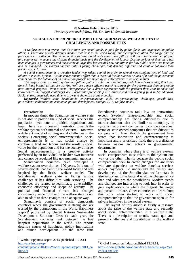

#### **© Nadina Helen Bakos, 2015**

*Honorary research fellow, Fil. Dr. Jan-U. Sandal Institute* 

#### **SOCIAL ENTREPRENEURSHIP IN THE SCANDINAVIAN WELFARE STATE: CHALLENGES AND POSSIBILITIES**

*A welfare state is a system that distributes key social goods, is paid for by public funds and organized by public officials. There are several different models that exist in the world today, but the implementation, the range and the performance are diverse. The Scandinavian welfare model rests upon three pillars: collaboration between employers and employees, to secure the citizens financial basis and the development of labour. During periods of time there has been changes in government and the society at large that has created new conditions for how public sector can function and be managed. The modern welfare state is facing challenges that demand different and creative solutions than previously performed.* 

*A social entrepreneur is a creative leader who raises capital in order to spread new combinations of land and*  labour in a social system. It is the entrepreneur's effort that is essential for the success or lack of it and the government *cannot control the outcome of an innovation process prompted by an entrepreneur in an open market.* 

*The welfare state is a static system that follows political rules and regulations, and change is something that takes time. Private initiatives that are working well are a more efficient use of resources for the government than developing new internal projects. Often a social entrepreneur has a direct experience with the problem they want to solve and know where the biggest challenges are. Social entrepreneurship is a diverse and still a young field in Scandinavia. Social entrepreneurship need time to grow and showcase great examples.* 

*Keywords: Welfare state, Scandinavia, entrepreneurship, social entrepreneurship, challenges, possibilities, government, collaboration, economic, politic, development, change, 2015, welfare model.* 

#### **Introduction**

In modern times the Scandinavian welfare state is not able to provide the kind of social services the population need due to political regulations and laws. There is an increasing frustration towards the welfare system both internal and external. However, a different model of solving social challenges in the society is emerging, social entrepreneurship. Social entrepreneurship is to lead social change by combining land and labour and the result is social value for the population and for the society at large. Social entrepreneurship is a creative activity performed by an individual on his/her own initiative and cannot be regulated like governmental agencies.

Scandinavian countries have developed a welfare system over the last 100 years. It is one of several models that exist in the world today and was inspired by the British welfare model. The Scandinavian welfare state is facing serious challenges it has difficulties with resolving. The challenges are related to legitimacy, governability, economic efficiency and scope of activity. The political and financial climate has changed considerably since 1891 and the welfare state is not able to adapt to these changes in an adequate way.

Scandinavia consists of social democratic countries where the government is strong and are trusted by the populations. In the World Happiness Report<sup>1</sup> published by United Nations Sustainable Development Solutions Network each year, the Scandinavian countries rank between the five happiest populations in the world. The reports describe causes of happiness, policy implications and human development. At the same time

Scandinavian countries rank low on innovation, except Sweden.<sup>2</sup> Entrepreneurship and social entrepreneurship are facing difficulties due to market situations that are similar to monopoly, or systems that prevent companies to compete on equal terms or state owned companies that are difficult to compete with. Even though the government have stated that innovation and entrepreneurship is important and a prioritized field, there is a distance between visions and actions in governmental departments.

In countries where there is a welfare system, social entrepreneurs must relate to the system one way or the other. That is because the people social entrepreneurs seek to create changes for are users who are dependent on welfare benefits: services and/or payments. To understand the history and development of the Scandinavian welfare state is also important to understand what has changed since then and what are the possibilities. Modern trends and changes are interesting to look into in order to give explanations on where the biggest challenges and possibilities are. Other countries can learn from this work when starting to work with social entrepreneurship so that the government open up for private initiatives in the social system.

The layout of this article is firstly a research about the raise of the welfare state and secondly about social entrepreneurship in a welfare state. There is a description of trends, status quo and present challenges and possibilities in the welfare state.

<sup>1</sup> World Happiness Report 2013, published 01.02.14 http://unsdsn.org/wp-

content/uploads/2014/02/WorldHappinessReport2013\_on line.pdf

<sup>&</sup>lt;sup>2</sup> Global Innovation Index, published 13.08.14: https://www.globalinnovationindex.org/content.aspx?pag e=data-analysis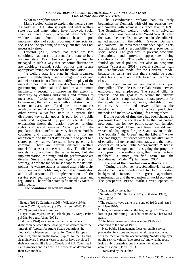#### **What is a welfare state?**

Many studies<sup>3</sup> claim to explain the welfare state. As early as 1951 Titmuss explained what welfare state was and many others have followed. Social scientists<sup>4</sup> have quickly accepted self-proclaimed welfare state from nations based upon implementations of social programs. Many scientist focuses on the spending of money, but that does not necessarily show

Lysestøl (2002) stated that there are two conditions that must be present for a state to be a welfare state. First, financial politics must be managed in such a way that economic fluctuations are avoided. Second, social politics that secure appropriate living conditions for the population.

"A welfare state is a state in which organized power is deliberately used (through politics and administration) in an effort to modify the play of the market forces in at least three directions - first, by guaranteeing individuals and families a minimum income… - second, by narrowing the extent of insecurity by enabling individuals and families to meet certain "social contingencies"… And - third, by ensuring that all citizens without distinction of status or class are offered the best standards available of social services."(Briggs, 1961). With other words, a welfare state is a system that distributes key social goods, is paid for by public funds and organized by public officials. This explanation shows the relation between funding, rights and social services. Which part of the population that benefits can vary between models, countries and change with time? It's not my ambition to find the right definition, but to point to a shared policy that welfare states have generally in common. There are several different welfare models<sup>5</sup> that exist in the world today. The different models originate from the same terms, but the implementation, the range and the performance are diverse. Since the state is managed after political strategy, a welfare model must adapt to the national politics. A welfare state is arranged after a hierarchy with three levels: politicians, a central administration and civil servants. The implementations of the service provided have to follow certain rules and regulations. The welfare state is financed by taxes of individuals.

#### **The Scandinavian welfare model**

The Scandinavian welfare had its early beginnings in Denmark with old age pension law, and Sweden with sickness insurance law, in 1891. The Scandinavian welfare model with universal rights for all was created after World War II. After the war, the socialist movement in Scandinavia gained support from the public in Sweden, Denmark and Norway. The movement demanded equal rights and the state had a responsibility as a provider of social goods. The goal was to prevent economic fluctuations and provide appropriate living conditions for all. "The welfare state in not only funded on social politics, but also on economic politics."<sup>6</sup>(Lysestøl, 2001). Several scientists<sup>7</sup> call the Scandinavian model for the Universal model because its terms are that there should be equal rights for all, and not rights based on income or class.

The Scandinavian welfare model rests upon three pillars. The oldest is the collaboration between employers and employees. The second pillar is financial and the goal is to secure the citizens financial basis through services the state provides for the population like social, health, rehabilitation and childcare. A third and newer pillar is the development of labour: effective production methods and inclusive working life among others.

During periods of time there has been changes in government and the society at large that has created new conditions for how public sector can function and be managed. There have been three different waves of challenges for the Scandinavian model: The Socialist<sup>8</sup>, the Green<sup>9</sup> and the Liberal<sup>10</sup> wave. The two biggest influences were the socialist values of equality, influence and democracy, and the liberal concept called New Public Management<sup>11</sup>. "There is an overall development in designing the programs for improving the welfare state, that makes the term neoliberal a more qualified term for the Scandinavian Model."<sup>12</sup>(Hermansen, 2004).

#### **The rise of the Scandinavian welfare state**

"During the 19th century, Scandinavian sectoral development was conditioned by two important background factors; the great agricultural transformation and the expansion of world economy. The prosperous British markets were opened to

1

<sup>12</sup> Translated by the author.

-

<sup>3</sup> Briggs (1961), Cuthright (1965), Wilensky (1974), Hewitt (1977), Quadagno (1987), Iversen (2001), Katz (2002) are just a few examples.

<sup>4</sup> Day (1978), Myles (1984a), Blank (1997), Korpi, Palme (1998), Scruggs, Allan (2004),

 $\frac{5}{1}$  Titmuss (1974) was one of the first who made a distinction between three ideal types of welfare state: the 'marginal' (typical for Anglo-Saxon countries), the 'industrial achievement' (typical for Central European countries) and the 'institutional' (typical for the UK and Scandinavia). In recent years countries have developed their own model like Japan, Canada and EU. Countries in Latin America and Asia are in the process on developing their own models.

<sup>&</sup>lt;sup>6</sup> Translated by the author.

<sup>7</sup> Sainsbury (1991), Rankin (1991), Rothstein (1998),

Bergh (2004).

<sup>8</sup> The socialist wave came in the end of 1960s and lasted until late 1970s.

<sup>&</sup>lt;sup>9</sup> The green wave started in the beginning of 1970s and lost its grounds during 1980s, but from 2005 it has raised again.

<sup>&</sup>lt;sup>10</sup> The liberal wave was introduced in 1980s and continued to the end of 1990s.

New Public Management focus on public service production functions and operational issues contrasted with the focus on public accountability, 'model employer' public service values, 'due process,' and what happens inside public organizations in conventional public administration. (Hood, 1991).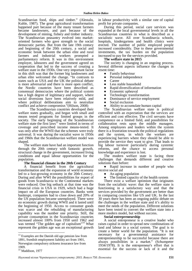Scandinavian food, ships and timber." (Alestalo, Kuhle, 1987). The great agricultural transformation happened part because of the many tenant farmers became landowners, and part because of the development of mining, fishery and timber industry. The Scandinavian peasantry evolved into marketoriented farmers who gave strength to the social democratic parties. But from the late 19th century and beginning of the 20th century, a social and economic break between the urban elite and rural farmers and industrial workers prompted a parliamentary reform. It was in this environment employer, labourers and the government agreed on cooperation that led to the success of creating a welfare state in the 1930s. One very important factor in this shift was that the former big landowners and urban elite welcomed the change. "In contrasts to states such as USA and the UK the political debate is more adversarial and there is more open conflict, the Nordic countries have been described as consensual democracies where the political system has a high degree of legitimacy and support, where social diversions have been relatively mild, and where political deliberations aim to neutralize conflict and achieve compromise."(Hilson, 2008)

 The Scandinavian countries developed their welfare states gradually, and began with small and means tested programs for limited groups in the society. The early beginning of the Scandinavian welfare state the first laws<sup>13</sup> were limited in terms of coverage and prescribed income means-tested. It was only after the WWII that the schemes were truly universal. It was during the socialist wave in 1950s and 1960s that the Scandinavian welfare model was shaped.

The welfare state have had an important function through the 20th century with fantastic growth, structural change in the government, increased living conditions and equal labour opportunities for the population.

#### **The financial climate in the 20th Century**

A financial benefit from the agricultural transformation and the expansion of world economy led to a fast-growing economy in the 20th Century. During and after WWI the possibilities for export of goods from Scandinavia to the Continental markets were reduced. One big setback at that time was the financial crisis in USA in 1929, which had a huge impact on all the European countries. Banks went bankrupt, companies had to close down and 20% of the US population became unemployed. There were no economic growth during WWII and it lasted until the beginning of 1950. Access to consumer goods was scarce and the rebuilding of manufacturing capability was the number one priority. Still, the private consumption in the Scandinavian countries increased almost 100% from 1950 until 1962 and was termed "The golden age of capitalism"<sup>14</sup> What represent the golden age was an exceptional growth

Norwegian compulsory sickness insurance law from 1909.

-

in labour productivity with a similar rate of capital profit for private companies.

During this period, social care services was expanded at the local governmental levels in all the Scandinavian countries in what is described as a socialistic wave. All over Scandinavia schools, hospitals, kindergartens and health clinics were erected. The number of public employed people increased considerably. Due to these governmental investments, the tax burden on the population increased to pay for the services provided.

#### **The welfare state in 2015**

The society is changing in an ongoing process. Several different aspects influence the changes in resent time:

- Family behaviour
- Personal independence
- **Career**
- Less stable household
- Ɣ Rapid diversification of information
- Economic upheaval
- Technologic transformation
- Dominance of service employment
- Social exclusion
- Ɣ Ability to accumulate human capital

The Scandinavian welfare state is political controlled with an expectation that the services are efficient and cost effective. The civil servants have competence on a limited field, and possibilities for collaboration rests upon the middle managers. Among employees and leaders within the system there is a frustration towards the political regulations and the system, in which the workers are experiencing barriers where they should be able to provide the service they want to give. That leads to big labour turnover particularly during systemic reforms, and the chance to access personal knowledge and experience is lost.

The modern welfare state is facing three challenges that demands different and creative solutions than before:

• Rapid increase in number of people who receive social aid

- An aging population
- The limited capacity of the health system

There exist a welfare optimism that originates from the socialistic wave: that the welfare state is functioning in a satisfactory way and that the services provided by the government are better than in comparing countries like US and UK. In the last 30 years there has been an ongoing public debate on the challenges in the welfare state and it's ability to meet the needs of the population. Different solutions have been tested to convert the welfare state into a more modern model, but without success.

#### **Social entrepreneurship**

A social entrepreneur is a creative leader who raises capital in order to spread new combinations of land and labour in a social system. The goal is to create a better world for the population. "It is not necessary for a governmental assistance for entrepreneurship to be successful because there are always possibilities in a market." (Schumpeter 1934/1978). It is the entrepreneur's effort that is essential for the success or lack of it and the

<sup>&</sup>lt;sup>13</sup> Examples are the Danish old age pension law from 1891, Swedish employment liability act from 1901,

<sup>&</sup>lt;sup>14</sup> Maddison, 1977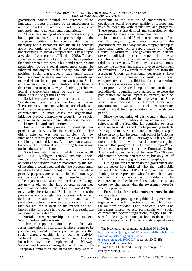government cannot control the outcome of an innovation process prompted by an entrepreneur in an open market. In an open market there is no monopoly and no governmental regulations.

"The understanding of social entrepreneurship is built upon science on entrepreneurship in the European tradition. The science describes a mentality and a behaviour that fits in all contexts about economic and social development. The understanding of social entrepreneurs is based upon a version of entrepreneurs."(Sandal, 2008). To be a social entrepreneur is not a profession, but a position that ends when a business is built and enters a static production. To be a social entrepreneur cannot be inherited and anyone in the society can take that position. Social entrepreneurs have qualifications that make him/her able to imagine future results and make decisions based upon unknown factors. Social entrepreneurs use their intuition and have a determination to try new ways of solving problems. Social entrepreneurs must be able to manage himself/herself to get things done.

Social entrepreneurship is a recent term in Scandinavian countries and the field is diverse. There are everything from voluntary organisations to traditional enterprises who call themselves social entrepreneurs. In most cases the organisation, initiative, project, company or group is not a social entrepreneur but an enterprise with a social mission.

#### **Innovation and social innovation**

Innovation is the process of creating new products and services for the society that earlier didn't exist or was not as efficient. A new innovation creates job opportunities as an effect of combining land and labour. An innovation creates a breach in the traditional way of doing business and pushed the sector to change.

Social innovation has a broad definition in UK and USA. Mulligan (2007) explains social innovation as "'New ideas that work… Innovative activities and services that are motivated by the goal of meeting a social need and that are predominantly developed and diffused through organisations whose primary purposes are social." This definition says nothing about who are managing these innovations, if the organizations that innovation develops through are new or old, or what kind of organisation they are; private or public. A definition by Sandal (2008) may clarify these factors: "Social innovation is the process where a single person takes independent decisions in relation to combination and use of production factors in order to create a social service that has not earlier been on the market and will improve life for people in the society. The results are increased social value.'

#### **Social entrepreneurship in the modern Scandinavian welfare state.**

There is a political commitment to help and foster innovation in Scandinavia. There seems to be political agreements across political parties that social entrepreneurship is a positive activity. Different programs, agreements and financial incentives have been implemented in Norway, Sweden and Denmark during the last 15 years. The European Commission has stated that they want to

contribute to the creation of environments for developing social entrepreneurship in Europe and have followed up with regulations and programs. These programs are defined and controlled by the government and not social entrepreneurs.

In an article called "Social entrepreneurship" on<br>Norwegian government's website<sup>15</sup> the the Norwegian government's website<sup>15</sup> the government explains why social entrepreneurship is important, based on a report made by Nordic Council of Ministers: "The government have in the present political platform stated that better conditions for use of social entrepreneurs and the third sector is wanted. To employ and activate more people, the government wants a diverse environment of providers."<sup>16</sup> As a result of regulations from the European Union, governmental departments have expressed an increased interest in social entrepreneurs and possibilities for collaboration. This process is in its early beginnings.

Inspired by the social impacts bonds in the UK, Scandinavian countries have started to explore the possibilities for social impact investment, both on national and on local levels in the government. Since social entrepreneurship is different from nongovernmental organisations, social entrepreneurs need different funding opportunities in a start-up period.

Since the beginning of 21st Century there has been a focus on traditional entrepreneurship in schools in all the Scandinavian countries, to foster entrepreneurial skills and knowledge among students from age 12 to 18. Social entrepreneurship is a part of the lessons. Lambertseter high school in Oslo has been one of the schools in Norway who has worked most methodical with social entrepreneurship through this program. OECD made a report<sup>17</sup> on Youth entrepreneurship for the European Union. This report shows that youth between 20 - 30 years old wants to become entrepreneurs, but only 4% of EU citizens in this age group are self-employed.

During the ten recent years the government and private sector have initiated what they call Public Private Collaboration, OPS. The government give funding to entrepreneurs who finance, build and maintain public roads and buildings. The entrepreneur is the financial risk taker. This can create new challenges when the government loses its role as a provider.

#### **Possibilities for social entrepreneurs in the welfare state.**

There is a growing recognition the government together with the third sector is not enough and that the solutions provided is not up to date. There is an increasing interest to test partnership with social entrepreneurs because regulations, religious beliefs, specific ideology or municipal borders do not limit social entrepreneurs. The welfare state spend more

1

<sup>&</sup>lt;sup>15</sup> The Norwegian government, published 06.11.2014: https://www.regjeringen.no/nb/tema/arbeidsliv/arbeidsma rked-og-sysselsetting/innsikt/sosialtentreprenorskap/id2009201/ (accessed: 30.03.15)

<sup>&</sup>lt;sup>16</sup> Translated by the author.

<sup>&</sup>lt;sup>17</sup> From the OECD report "Policy Brief on youth entrepreneurship", 2012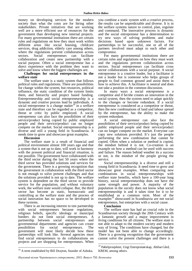money on developing services for the modern society than what the costs are for hiring other stakeholders. Private initiatives that are working well are a more efficient use of resources for the government than developing new internal projects. For many governmental institutions there are certain rules and regulations on how they must work within different areas like social housing, childcare services, drug addiction, elderly care among others, where the regulations prevent collaboration across sectors. Social entrepreneurs can facilitate collaboration and create new partnership with a social purpose. Often a social entrepreneur has a direct experience with the problem they want to solve and know where the biggest challenges are.

#### **Challenges for social entrepreneurs in the welfare state**

The welfare state is a static system that follows political rules and regulations. There are possibilities for change within the system, but resources, political influence, the static condition of the system limits them, and hierarchy and project based funding. Entrepreneurship and social entrepreneurship is a dynamic and creative process lead by individuals. A social entrepreneur is a change maker $18$  in a welfare state and therefore can be regarded as a competitor, threat or critic by public employed. A social entrepreneur can also face the possibilities of their service/product being copied by public employed people and their service/product can no longer compete on the market. Social entrepreneurship is a diverse and still a young field in Scandinavia. It needs time to grow and showcase great examples.

#### **Discussion**

-

The welfare state is a result of financial and political environment almost 100 years ago and that a system that is not up to date, will work in harmony with the present political and financial situation, is not possible. The government have collaborated with the third sector during the last 50 years where the third sector has provided solutions and services for the government. There is a growing recognition that the government in collaboration with the third sector is not enough to solve present challenges and that the solutions provided is not up to date. The welfare system is dependent on the third sector to provide service for the population, and without voluntary work, the welfare state would collapse. But, the third sector has become as static, bureaucratic and controlling as the welfare state and the process of social innovation has no space to be developed in these systems.

There is an increasing interest to test partnership with social entrepreneurs because regulations, religious beliefs, specific ideology or municipal borders do not limit social entrepreneurs. A partnership between social entrepreneurs and governmental departments and agencies can create possibilities for social entrepreneurs. The government will most likely decide how these partnerships will look like. Several agencies must find social entrepreneurs to do collaborations on projects and are shopping for entrepreneurs. When

you combine a static system with a creative process, the results can be unpredictable and diverse. It is in the welfare systems nature to control, plan, regulate and command. The innovative process is dynamic and the social entrepreneur has a determination to try new ways of solving problems and make decisions based upon unknown factors. For partnerships to be successful, one or all of the partners involved must adapt to each other and compromise.

For many governmental institutions there are certain rules and regulations on how they must work and the regulations prevent collaboration across sectors. Social entrepreneurs can facilitate cross sector collaborations with a social purpose. A social entrepreneur is a creative leader, but a facilitator is not a leader but is someone who helps groups of people to find common ground and assist them in how to achieve this. A facilitator is neutral and does not take a position in the common discussion.

In many ways a social entrepreneur is a competitor and if he/she creates an innovation in the social system, then the system need to adapt quickly to the changes or become redundant. If a social entrepreneur is considered as a competitor or threat, then the new combinations of land and labour spread by the entrepreneur, has the ability to make the system redundant.

A social entrepreneur can also face the possibilities of their service/product being copied by public employed people and their service/product can no longer compete on the market. Everyone can copy new solutions provided. It's just the people performing the new combination that cannot be copied. Often when a solution or method is copied, the mindset behind it is not. Co-creation is an example on how a method can be used with success and failure. The reason behind weather its a success or not, is the mindset of the people giving the service.

Social entrepreneurship is a diverse and still a young field in Scandinavia. It need time to grow and showcase great examples. When comparing new combinations in social entrepreneurships with welfare state benefits, which have a 100-year long history, social entrepreneurship does not have the same strength and power. A majority of the population in the society does not know what social entrepreneurship is and it takes time for it to be established as a common term. Most of the examples<sup>19</sup> showcased in Scandinavia are not social entrepreneurs, but enterprises with a social cause.

#### **Conclusion**

1

The welfare state has had an crucial role in the Scandinavian society through the 20th Century with a fantastic growth and a major improvement in living conditions for all citizens. The welfare state is not able to adapt to the modern society and modern way of living. The conditions have changed, but the model has not been able to change accordingly. There is a growing recognition that the government cannot solve the present challenges and there is a

<sup>&</sup>lt;sup>18</sup> A term established by Bill Drayton, founder of Ashoka.

<sup>19</sup> Pøbelprosjektet, Ungt Entreprenørskap, Abilsø Gård, KREM, among others.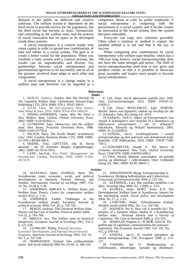demand in the public on different and creative solutions. The welfare system is dependent on the third sector to provide service for the population, but the third sector has become as static, bureaucratic and controlling as the welfare state, and the process of social innovation has no space to be developed inside these systems.

A social entrepreneur is a creative leader who raises capital in order to spread new combinations of land and labour in a social system. The goal is to create a better world for the population. When you combine a static system with a creative process, the results can be unpredictable and diverse. For partnerships between social entrepreneurs and governmental agencies to be successful, one or all of the partners involved must adapt to each other and compromise.

A social entrepreneur is a change maker in a welfare state and therefore can be regarded as a competitor, threat or critic by public employed. A social entrepreneur is competing with the government in a social system, and if he/she creates an innovation in the social system, then the system becomes redundant.

Everyone can copy new solutions provided. Often when a solution or method is copied, the mindset behind it is not and that is the key to success.

When comparing new combinations by social entrepreneur with welfare state benefits, which has a 100-year long history, social entrepreneurship does not have the same strength and power. The field of social entrepreneurship need time to test, grow and produce results so that it is possible to showcase great examples and inspire more people to become social entrepreneurs.

#### **References Books**

1. BERGH, Andreas. *Sweden And The Revival Of The Capitalist Welfare State.* Cheltenham, Edward Elgar Publishing LTD, 2014. ISBN: 978-1-78347-349-6.

2. ELLIS, Tania. *The new pioneers.* West Sussex, John Wiley & Sons, 2010. ISBN: 978-0-470-74842-8.

3. EPSING-ANDERSEN, Gøsta. *Why We Need a New Welfare State.* Oxford, Oxford University Press, 2002. ISBN: 0-19-925642-x.

4. GUTMANN, Amy. *Democracy and the welfare state.* New Jersey, Princeton University Press, 1988. ISBN: 0-691-07756-8.

5. HILSON, Mary. *The Nordic Model: Scandinavia since 1945.* London, Reaktion Books LTD, 2008. ISBN-13: 978-1-86189-366-6.

6. HODNE, Fritz; GRYTTEN, Ola H. *Norsk økonomi i det 20. århundre.* Bergen, Fagbokforlaget, 2002. ISBN: 82-7674-739-6.

7. LANE, Jan-Erik. *New Public Management: An Introduction.* London, Routledge, 2000. ISBN: 0-203- 46732-9.

14. ALESTALO, Matti; KUHNLE, Stein. The Scandinavian route: economic, social, and political developments in Denmark, Finland, Norway, and Sweden. *International Journal of sociology* 1987, Vol. 16, No. 03-04 p. 3-38.

15. ANDERSEN, JØRGEN G. Welfare States and Welfare State Theory. *Centre for comparative welfare studies* 2012, p. 1-33.

16. ANDERSEN, Torben. Challenges to the Scandinavian welfare model. *European Journal of political economy* 2004, Vol. 20, p. 743-754.

17. BERGH, Andreas. The Universal Welfare State: Theory and the Case of Sweden. *Political studies* 2004, Vol 52, p. 745–766.

18. BRIGGS, Asa. The welfare state in historical perspective, *European Journal of Sociology* 1961, Vol 2, p. 221-258.

19. CUTRIGHT, Phillip. Political Structure,

Economic Development, and National Social Security Programs. *American Journal of Sociology* 1965. Vol. 10, No. 5, p. 537-550*.*

20. HERMANSEN, Tormod. Den nyliberalistiske staten. *Nytt norsk tidsskrift* 2004 No. 03-04, p. 306-319.

8. LIE, Einar. *Norsk økonomisk politikk etter 1905.*  Oslo, Universitetsforlaget, 2012. ISBN: 978-82-15- 01810-2.

9. LIE, Einar; MYKLEBUST, Egil; NORVIK, Harald. *Staten som kapitalist, rikdom og eierskap for det 21. århundre.* Oslo, Pax forlag AS, 2014.

10. SANDAL, JAN-U. *Jakten på Entreprenøren, kan Joseph A Schumpeters teori benyttes til å identifisere og differensiere entreprenører i det 21. århundre?* Stockholm, Almqvist og Wiksell International, 2003. ISBN: 91-22-02020-9.

11. SANDAL, Jan-U. *Utviklingsfronten i sosialt entreprenørskap og dets potensial som demokratisk kraft.* Roskilde, CSE Publications, 2010. ISBN: 978-87-7349- 759-3.

12. SCHUMPETER, Joseph A. *The theory of economic development.* New York, Oxford University Press, 1934/1978. ISBN: 0-87855-698-2.

13. VIKE, Harald. *Maktens samvittighet, om politikk styring og dilemmaer i velferdsstaten.* Oslo: Gyldendal forlag AS, 2002. ISBN: 82-05-30645-1.

**Articles**

21. JOHANNISSON, Bengt. Entrepreneurship in Scandinavia: Bridging Individualism and Collectivism.

*Crossroads of Entrepreneurship* 2004, p. 225-241.

22. KLEMSDAL, Lars. Den nordiske modellen i tre deler. *Sosiologi idag* 2009, No. 1/2009, p. 3-10.

23. KUHNLE, Stein; HORT, Svein E.O. The Developmental Welfare State in Scandinavia, lessons for the developing world. *Social policy and development*  2004, No. 17, p. 1-23.

24. LYSESTØL, Peder. Velferdsstatens fremtid. *Nordisk sosialt arbeid* 2002, No. 2, p. 102-106.

25. MADSEN, Per K. How can it possible fly? The paradox of a dynamic labour market in a Scandinavian welfare state. *National Identity and a Variety of Capitalism: The Case of Denmark* 2006, p. 323-355.

26. MARGLIN, Stephen A.; SCHOR, Juliet B. The golden age of capitalism, reinterpretation the postware experience. *The Economic Journal* 1992. Vol. 102, No. 412, p. 639-641.

27. SANDAL, Jan-U. Et nordisk perspektiv på sosialt entreprenørskap. *CSE Årsrapport* 2008, p. 113-

 $\frac{127}{28}$ . VANEBO, Jan O. Modernisering av velferdsstaten, utfordringer, metoder og dilemmaer.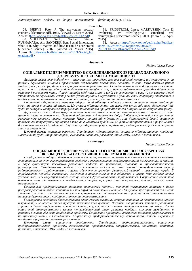*Kunnskapsbasert praksis, en knippe nordtrøndersk forskning* 2005, p. 47-62.

#### **E-articles**

29. BJERVE, Peter J. The norwegian postwar economy [electronic pdf]. 1965. [viewed 20 March 2015]. Access:<https://www.ssb.no/a/histstat/sos/sos\_012.pdf>

30. MULLIGAN, Geoff; Tucker, Simon; RUSHANARA, Ali; SANDERS, Ben. Social Innovation, what is it, why it matters and how it can be accelerated [electronic source]. 2007. [viewed 24 March 2015]. Access:<http://eureka.bodleian.ox.ac.uk/761/1/Social\_Inn ovation.pdf>

31. FRIDSTRØM, Lasse; MARKUSSEN, Tom E. av offentlig-privat samarbeid ved veiutbygging [electronic source]. 2001. [viewed 17 April 2015].

32. Access:<https://www.toi.no/getfile.php/Publikasj oner/T%C3%98I%20rapporter/2001/506- 2001/T%C3%98I-rapport%20506-2001.pdf>

#### $A$ нотаиія

Надіна Хелен Бакос

#### СОЦІАЛЬНЕ ПІДПРИЄМНИЦТВО В СКАНДИНАВСЬКИХ ДЕРЖАВАХ ЗАГАЛЬНОГО **ДОБРОБУТУ: ПРОБЛЕМИ ТА МОЖЛИВОСТІ**

 $\bar{A}$ ержава загального добробуту – система, яка розподіляє ключові соціальні товари, що оплачуються за рахунок державних коштів і організована державними посадовими особами. У світі існує декілька різних моделей, але реалізація, діапазон і продуктивність різноманітні. Скандинавська модель добробуту лежить на трьох китах: співпраця між роботодавцями та працівниками, з метою забезпечення громадян фінансовою  $\frac{1}{2}$ *сновою і розвитком праці.* У певні періоди відбулися зміни в уряді і в суспільстві в цілому, що створило нові умови того, як державний сектор може функціонувати і керуватися. Сучасний стан добробуту стикається з лроблемами, які вимагають інших творчих рішень, ніж ті, що раніше застосовувалися.

Соціальний підприємець є творчим лідером, який збільшує капітал з метою поширення нових комбінацій землі та праці в соціальній системі. Це зусилля підприємия має значення для успіху або його відсутності та уряді не можуть контролювати результат інноваційного процесу діяльності підприємця на відкритому ринку.

Держава загального добробуту статична система, яка заснована на політичних нормах і правилах, і зміна *ɰɶɨɝɨ ɜɢɦɚɝɚɽ ɡɧɚɱɧɨɝɨ ɱɚɫɭ. ɉɪɢɜɚɬɧɿ ɿɧɿɰɿɚɬɢɜɢ, ɹɤɿ ɩɪɚɰɸɸɬɶ ɞɨɛɪɟ ɿ ɛɿɥɶɲ ɟɮɟɤɬɢɜɧɿ ɭ ɜɢɤɨɪɢɫɬɚɧɧɹ* ресурсів ніж створені урядом проекти. Часто соціальний підприємець має безпосередній досвід вирішення  $\tilde{h}$ pо́блем, які потре́бують вирішення і знає. де є найбільші проблеми. Соціальне підприємништво є розрізненим і достатньо новим у Скандинавії. Соціальному підприємництву потрібен час, щоб вирости і продемонструвати значущі результати.

Ключові слова: соціальна держава, Скандинавія, підприємництво, соціальне підприємництво, проблеми,  $140$ жожливості, уряд, співробітництво, економіка, політика, розвиток, зміна, 2015, модель благополуччя.

#### $A$ ннотация

Надина Хелен Бакос

#### СОПИАЛЬНОЕ ПРЕЛПРИНИМАТЕЛЬСТВО В СКАНЛИНАВСКИХ ГОСУЛАРСТВАХ ВСЕОБШЕГО БЛАГОСОСТОЯНИЯ: ПРОБЛЕМЫ И ВОЗМОЖНОСТИ

 $I$ ocyдapство всеобщего благосостояния – система, которая распределяет ключевые социальные товары, *ɨɩɥɚɱɢɜɚɟɦɵɟɡɚɫɱɟɬɝɨɫɭɞɚɪɫɬɜɟɧɧɵɯɫɪɟɞɫɬɜɢɨɪɝɚɧɢɡɨɜɚɧɧɚɹɝɨɫɭɞɚɪɫɬɜɟɧɧɵɦɢɞɨɥɠɧɨɫɬɧɵɦɢɥɢɰɚɦɢ.*  В мире существует несколько различных моделей, но реализация, диапазон и производительность **разнообразны. Скандинавская модель благосостояния лежит на трех китах: сотрудничество между** работодателями и работниками, с целью обеспечения граждан финансовой основой и развитием труда. В iопределенные периоды состоялись изменения в правительстве и в обществе в целом, что создало новые условия того, как *государственный сектор может функционировать и управляться. Современное состояние благосостояния сталкивается с проблемами, которые требуют иных творческих решений, нежели ранее*  $n$ рименяемые.

Социальный предприниматель является творческим лидером, который увеличивает капитал в целях распространения новых комбинаций земли и труда в социальной системе. Это усилие предпринимателя имеет значение для vcnexa или его отсутствия и правительства не могут контролировать исход инновашионного процесса деятельности предпринимателя на открытом рынке.

*Ƚɨɫɭɞɚɪɫɬɜɨɜɫɟɨɛɳɟɝɨɛɥɚɝɨɫɨɫɬɨɹɧɢɹɫɬɚɬɢɱɟɫɤɚɹɫɢɫɬɟɦɚ, ɤɨɬɨɪɚɹɨɫɧɨɜɚɧɚɧɚɩɨɥɢɬɢɱɟɫɤɢɯɧɨɪɦɚɯ* и правилах, и изменение этого требует значительного времени. Частные инициативы, которые работают *хорошо и более эффективны в использование ресурсов чем созданные правительством проэкты. Часто ɫɨɰɢɚɥɶɧɵɣ ɩɪɟɞɩɪɢɧɢɦɚɬɟɥɶ ɢɦɟɟɬ ɧɟɩɨɫɪɟɞɫɬɜɟɧɧɵɣ ɨɩɵɬ ɪɟɲɟɧɢɹ ɩɪɨɛɥɟɦ, ɤɨɬɨɪɵɟ ɧɭɠɞɚɸɬɫɹ ɜ*  $p$ ешении и знает, где есть наибольшие проблемы. Социальное предпринимательство является разрозненным и <del>ио</del>-прежнему новым в Скандинавии. Социальному предпринимательству нужно время, чтобы вырасти и продемонстрировать значимые результаты.

**Ключевые слова**: социальное государство, Скандинавия, предпринимательство, социальное лредпринимательство, проблемы, возможности, правительство, сотрудничество, экономика, политика,  $pa$ звитие, изменение, 2015, модель благополучия.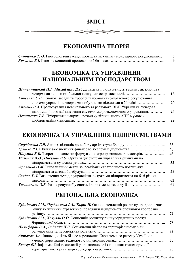### 3MICT

### ЕКОНОМІЧНА ТЕОРІЯ

| Сліпченко Т. О. Гносеологічні засади побудови механізму монетарного регулювання |  |
|---------------------------------------------------------------------------------|--|
|                                                                                 |  |

### ЕКОНОМІКА ТА УПРАВЛІННЯ НАЦІОНАЛЬНИМ ГОСПОДАРСТВОМ

| Шилепницький П.І., Михайлина Д.Г. Державна пріоритетність туризму як ключова |    |
|------------------------------------------------------------------------------|----|
|                                                                              | 15 |
| Кривенко С.В. Ключові засади та проблеми нормативно-правового регулювання    |    |
| системи управління твердими побутовими відходами в Україні                   | 20 |
| Кравець Р.А. Прогнозування номінального та реального ВВП України як складова |    |
| інформаційного забезпечення системи макроекономічного управління             | 24 |
| Остапенко Т.В. Пріоритетні напрями розвитку вітчизняного АПК в умовах        |    |
|                                                                              | 29 |
|                                                                              |    |

### ЕКОНОМІКА ТА УПРАВЛІННЯ ПІДПРИЄМСТВАМИ

|                                                                                  | 33  |
|----------------------------------------------------------------------------------|-----|
|                                                                                  | 43  |
| Нікуліна В.Б. Теоретичні аспекти формування агропромислових кластерів            | 46  |
| Мажник Л.О., Письмак В.О. Організація системи управління ризиками на             |     |
|                                                                                  | 52  |
| Фроленко О.М. Інноваційний механізм реалізації стратегічного потенціалу          |     |
|                                                                                  | 58. |
| Свидло Г. І. Визначення методів управління витратами підприємства на базі різних |     |
|                                                                                  | 63  |
|                                                                                  | 67  |

### РЕГІОНАЛЬНА ЕКОНОМІКА

| Буднікевич І.М., Черданцева І.А., Тафій Н. Основні тенденції розвитку продовольчого |    |
|-------------------------------------------------------------------------------------|----|
| ринку як чинники стратегічної поведінки підприємств споживчої кооперації            |    |
|                                                                                     | 72 |
| Буднікевич І.М., Хохуляк О.О. Концепція розвитку ринку юридичних послуг             |    |
|                                                                                     | 78 |
| Никифорак В.А., Водянка Л.Д. Соціальний діалог на територіальному рівні:            |    |
|                                                                                     | 83 |
| Антохов А.А. Інноваційність бізнес середовища Карпатського регіону України в        |    |
|                                                                                     | 88 |
| Венгер Е.І. Інформаційні технології у промисловості як чинник трансформації         |    |
|                                                                                     | 95 |